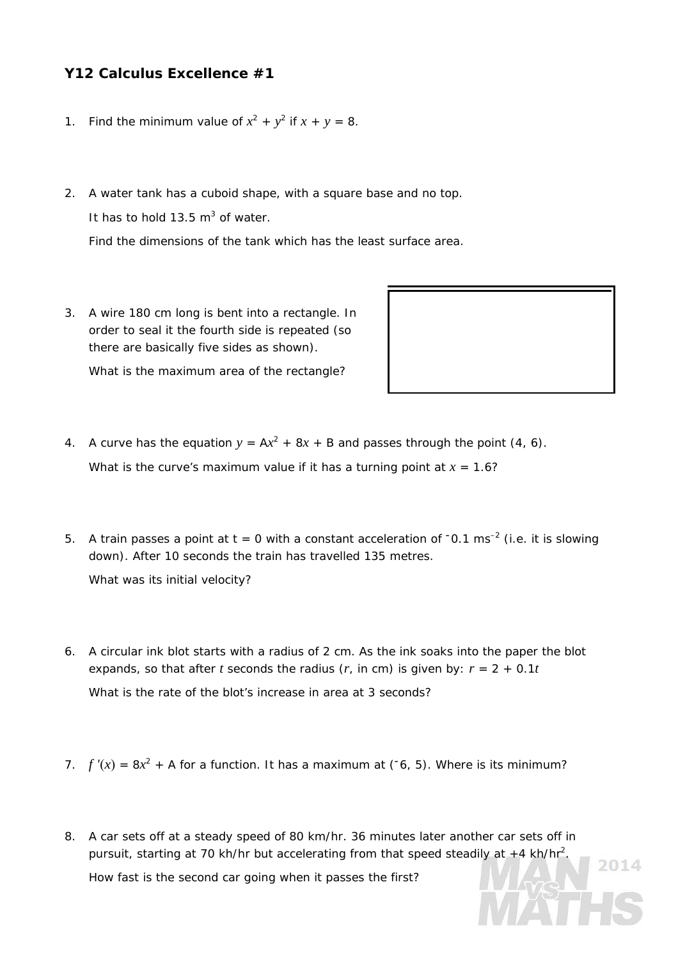## **Y12 Calculus Excellence #1**

- 1. Find the minimum value of  $x^2 + y^2$  if  $x + y = 8$ .
- 2. A water tank has a cuboid shape, with a square base and no top. It has to hold 13.5  $m^3$  of water.

Find the dimensions of the tank which has the least surface area.

3. A wire 180 cm long is bent into a rectangle. In order to seal it the fourth side is repeated (so there are basically five sides as shown).

What is the maximum area of the rectangle?



2014

- 4. A curve has the equation  $y = Ax^2 + 8x + B$  and passes through the point (4, 6). What is the curve's maximum value if it has a turning point at  $x = 1.6$ ?
- 5. A train passes a point at t = 0 with a constant acceleration of **–**0.1 ms–2 (i.e. it is slowing down). After 10 seconds the train has travelled 135 metres.

What was its initial velocity?

- 6. A circular ink blot starts with a radius of 2 cm. As the ink soaks into the paper the blot expands, so that after *t* seconds the radius  $(r, \text{ in cm})$  is given by:  $r = 2 + 0.1t$ What is the rate of the blot's increase in area at 3 seconds?
- 7.  $f'(x) = 8x^2 + A$  for a function. It has a maximum at ( $\overline{c}$ , 5). Where is its minimum?
- 8. A car sets off at a steady speed of 80 km/hr. 36 minutes later another car sets off in pursuit, starting at 70 kh/hr but accelerating from that speed steadily at  $+4$  kh/hr<sup>2</sup>. How fast is the second car going when it passes the first?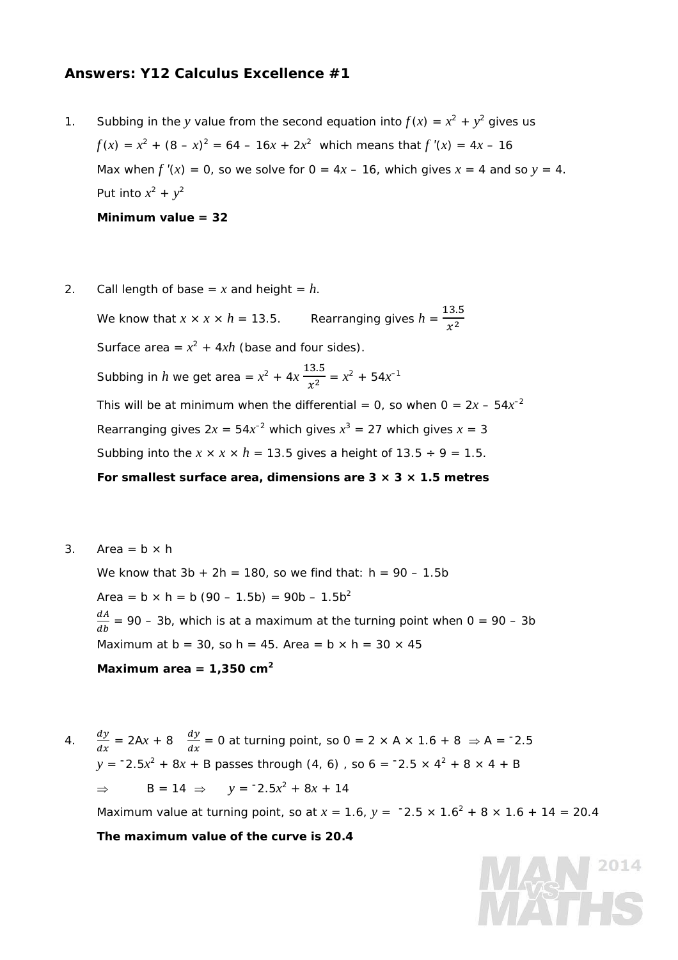## **Answers: Y12 Calculus Excellence #1**

- 1. Subbing in the *y* value from the second equation into  $f(x) = x^2 + y^2$  gives us  $f(x) = x^2 + (8 - x)^2 = 64 - 16x + 2x^2$  which means that  $f'(x) = 4x - 16$ Max when  $f'(x) = 0$ , so we solve for  $0 = 4x - 16$ , which gives  $x = 4$  and so  $y = 4$ . Put into  $x^2 + y^2$ **Minimum value = 32**
- 2. Call length of base =  $x$  and height =  $h$ . We know that  $x \times x \times h = 13.5$ . Rearranging gives  $h = \frac{13.5}{x^2}$ Surface area =  $x^2$  + 4*xh* (base and four sides). Subbing in *h* we get area =  $x^2 + 4x \frac{13.5}{x^2} = x^2 + 54x^{-1}$ This will be at minimum when the differential = 0, so when  $0 = 2x - 54x^{-2}$ Rearranging gives  $2x = 54x^{-2}$  which gives  $x^3 = 27$  which gives  $x = 3$ Subbing into the  $x \times x \times h = 13.5$  gives a height of  $13.5 \div 9 = 1.5$ . **For smallest surface area, dimensions are 3 × 3 × 1.5 metres**
- 3. Area =  $b \times h$

We know that  $3b + 2h = 180$ , so we find that:  $h = 90 - 1.5b$ Area =  $b \times h = b (90 - 1.5b) = 90b - 1.5b^2$  $\frac{dA}{db}$  = 90 – 3b, which is at a maximum at the turning point when 0 = 90 – 3b Maximum at  $b = 30$ , so  $h = 45$ . Area =  $b \times h = 30 \times 45$ **Maximum area = 1,350 cm<sup>2</sup>**

4.  $\frac{dy}{dx} = 2Ax + 8$   $\frac{dy}{dx} = 0$  at turning point, so  $0 = 2 \times A \times 1.6 + 8 \implies A = -2.5$ *y* =  $-2.5x^2 + 8x + B$  passes through (4, 6), so 6 =  $-2.5 \times 4^2 + 8 \times 4 + B$ ⇒ B = 14 ⇒  $y = -2.5x^2 + 8x + 14$ 

Maximum value at turning point, so at  $x = 1.6$ ,  $y = -2.5 \times 1.6^2 + 8 \times 1.6 + 14 = 20.4$ 

**The maximum value of the curve is 20.4**